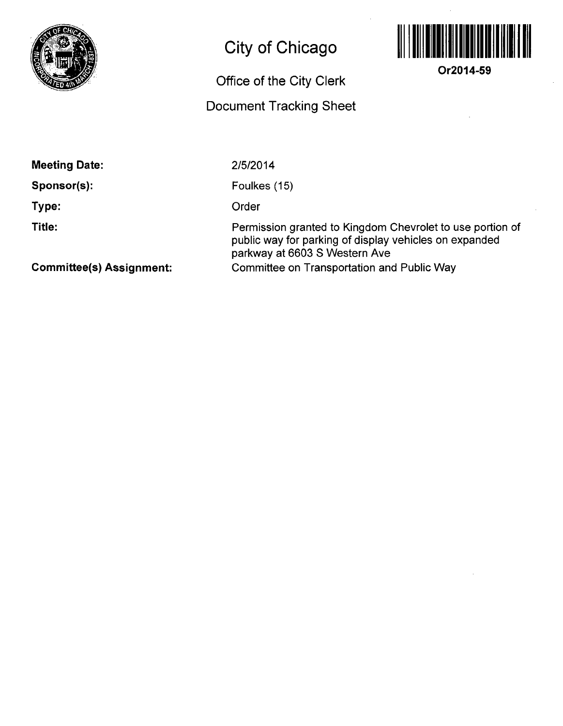

## **City of Chicago**

## **Office Of the City Clerk**

## **Document Tracking Sheet**



**Or2014-59** 

**Meeting Date:** 

**Sponsor(s):** 

**Type:** 

**Title:** 

2/5/2014

Foulkes (15)

Order

Permission granted to Kingdom Chevrolet to use portion of public way for parking of display vehicles on expanded parkway at 6603 S Western Ave Committee on Transportation and Public Way

**Committee(s) Assignment:**